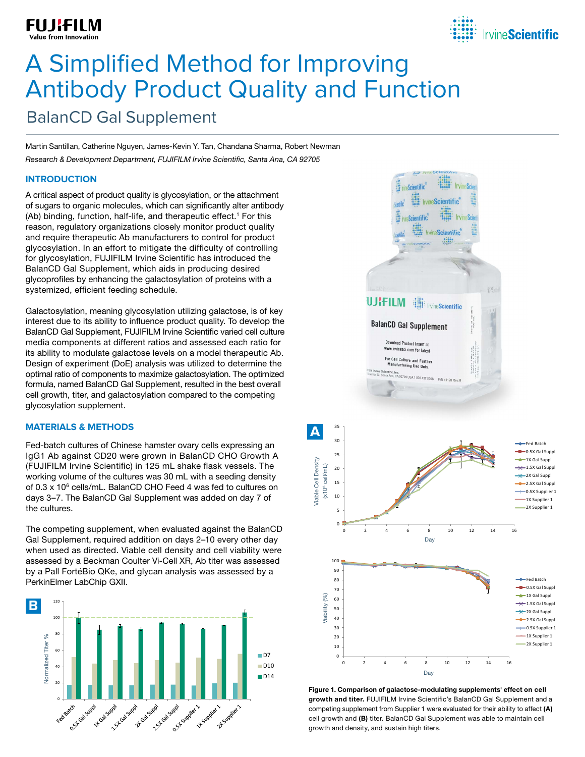## **FUJIFILM**



# BalanCD Gal Supplement A Simplified Method for Improving Antibody Product Quality and Function

Martin Santillan, Catherine Nguyen, James-Kevin Y. Tan, Chandana Sharma, Robert Newman *Research & Development Department, FUJIFILM Irvine Scientific, Santa Ana, CA 92705*

## **INTRODUCTION**

A critical aspect of product quality is glycosylation, or the attachment of sugars to organic molecules, which can significantly alter antibody (Ab) binding, function, half-life, and therapeutic effect.<sup>1</sup> For this reason, regulatory organizations closely monitor product quality and require therapeutic Ab manufacturers to control for product glycosylation. In an effort to mitigate the difficulty of controlling for glycosylation, FUJIFILM Irvine Scientific has introduced the BalanCD Gal Supplement, which aids in producing desired glycoprofiles by enhancing the galactosylation of proteins with a systemized, efficient feeding schedule.

Galactosylation, meaning glycosylation utilizing galactose, is of key interest due to its ability to influence product quality. To develop the BalanCD Gal Supplement, FUJIFILM Irvine Scientific varied cell culture media components at different ratios and assessed each ratio for its ability to modulate galactose levels on a model therapeutic Ab. Design of experiment (DoE) analysis was utilized to determine the optimal ratio of components to maximize galactosylation. The optimized formula, named BalanCD Gal Supplement, resulted in the best overall cell growth, titer, and galactosylation compared to the competing glycosylation supplement.

## **MATERIALS & METHODS**

Fed-batch cultures of Chinese hamster ovary cells expressing an IgG1 Ab against CD20 were grown in BalanCD CHO Growth A (FUJIFILM Irvine Scientific) in 125 mL shake flask vessels. The working volume of the cultures was 30 mL with a seeding density of  $0.3 \times 10^6$  cells/mL. BalanCD CHO Feed 4 was fed to cultures on days 3–7. The BalanCD Gal Supplement was added on day 7 of the cultures.

The competing supplement, when evaluated against the BalanCD Gal Supplement, required addition on days 2–10 every other day when used as directed. Viable cell density and cell viability were assessed by a Beckman Coulter Vi-Cell XR, Ab titer was assessed by a Pall FortéBio QKe, and glycan analysis was assessed by a PerkinElmer LabChip GXII.





Figure 1. Comparison of galactose-modulating supplements' effect on cell growth and titer. FUJIFILM Irvine Scientific's BalanCD Gal Supplement and a competing supplement from Supplier 1 were evaluated for their ability to affect (A) cell growth and (B) titer. BalanCD Gal Supplement was able to maintain cell growth and density, and sustain high titers.